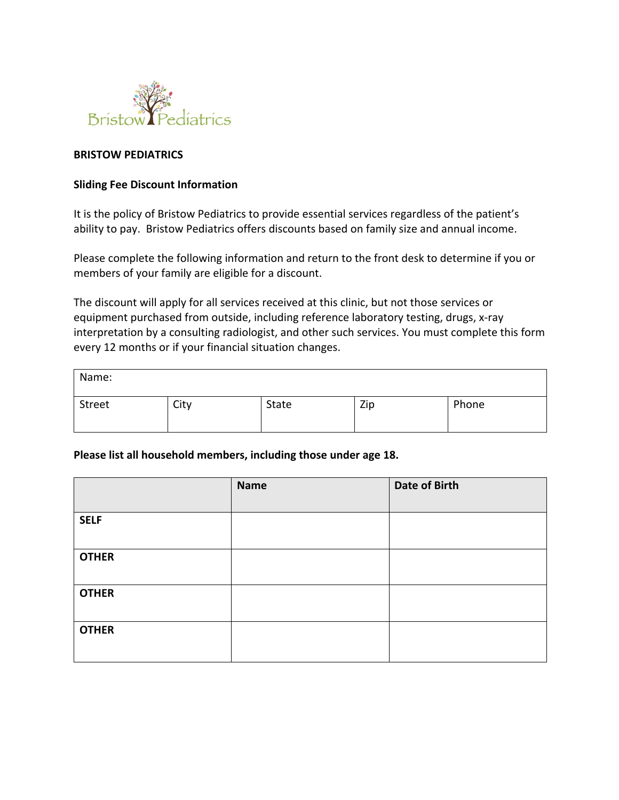

## **BRISTOW PEDIATRICS**

## **Sliding Fee Discount Information**

It is the policy of Bristow Pediatrics to provide essential services regardless of the patient's ability to pay. Bristow Pediatrics offers discounts based on family size and annual income.

Please complete the following information and return to the front desk to determine if you or members of your family are eligible for a discount.

The discount will apply for all services received at this clinic, but not those services or equipment purchased from outside, including reference laboratory testing, drugs, x-ray interpretation by a consulting radiologist, and other such services. You must complete this form every 12 months or if your financial situation changes.

| Name:  |      |       |     |       |
|--------|------|-------|-----|-------|
| Street | City | State | Zip | Phone |

## **Please list all household members, including those under age 18.**

|              | <b>Name</b> | Date of Birth |
|--------------|-------------|---------------|
| <b>SELF</b>  |             |               |
| <b>OTHER</b> |             |               |
| <b>OTHER</b> |             |               |
| <b>OTHER</b> |             |               |